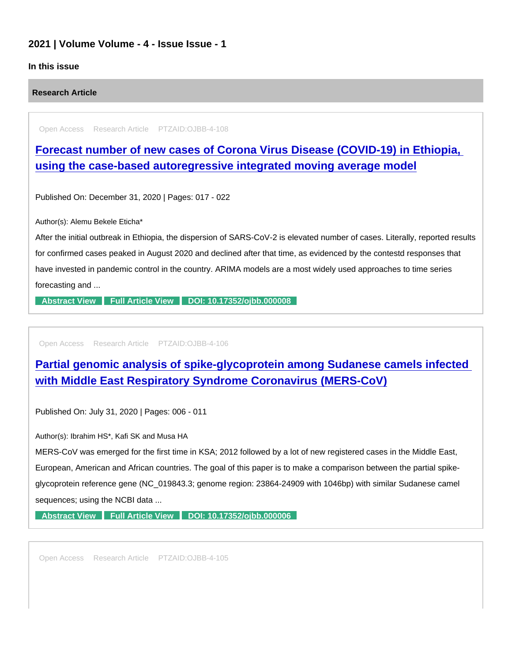## 2021 | Volume Volume - 4 - Issue Issue - 1

## In this issue

Research Article

Open Access Research Article PTZAID:OJBB-4-108

[Forecast number of new cases of Corona Virus Disease \(COVID-19\) in Ethiopia,](https://www.peertechzpublications.com/articles/forecast-number-of-new-cases-of-corona-virus-disease-covid-19-in-ethiopia-using-the-case-based-autoregressive-integrated-moving-average-model)  using the case-based autoregressive integrated moving average model

Published On: December 31, 2020 | Pages: 017 - 022

Author(s): Alemu Bekele Eticha\*

After the initial outbreak in Ethiopia, the dispersion of SARS-CoV-2 is elevated number of cases. Literally, reported results for confirmed cases peaked in August 2020 and declined after that time, as evidenced by the contestd responses that have invested in pandemic control in the country. ARIMA models are a most widely used approaches to time series forecasting and ...

[Abstract View](https://www.peertechzpublications.com/abstracts/forecast-number-of-new-cases-of-corona-virus-disease-covid-19-in-ethiopia-using-the-case-based-autoregressive-integrated-moving-average-model) [Full Article View](https://www.peertechzpublications.com/articles/forecast-number-of-new-cases-of-corona-virus-disease-covid-19-in-ethiopia-using-the-case-based-autoregressive-integrated-moving-average-model) [DOI: 10.17352/ojbb.000008](http://dx.doi.org/10.17352/ojbb.000008)

Open Access Research Article PTZAID:OJBB-4-106

[Partial genomic analysis of spike-glycoprotein among Sudanese camels infected](https://www.peertechzpublications.com/articles/partial-genomic-analysis-of-spike-glycoprotein-among-sudanese-camels-infected-with-middle-east-respiratory-syndrome-coronavirus-mers-cov)  with Middle East Respiratory Syndrome Coronavirus (MERS-CoV)

Published On: July 31, 2020 | Pages: 006 - 011

Author(s): Ibrahim HS\*, Kafi SK and Musa HA

MERS-CoV was emerged for the first time in KSA; 2012 followed by a lot of new registered cases in the Middle East, European, American and African countries. The goal of this paper is to make a comparison between the partial spikeglycoprotein reference gene (NC\_019843.3; genome region: 23864-24909 with 1046bp) with similar Sudanese camel sequences; using the NCBI data ...

[Abstract View](https://www.peertechzpublications.com/abstracts/partial-genomic-analysis-of-spike-glycoprotein-among-sudanese-camels-infected-with-middle-east-respiratory-syndrome-coronavirus-mers-cov) [Full Article View](https://www.peertechzpublications.com/articles/partial-genomic-analysis-of-spike-glycoprotein-among-sudanese-camels-infected-with-middle-east-respiratory-syndrome-coronavirus-mers-cov) [DOI: 10.17352/ojbb.000006](http://dx.doi.org/10.17352/ojbb.000006)

Open Access Research Article PTZAID:OJBB-4-105